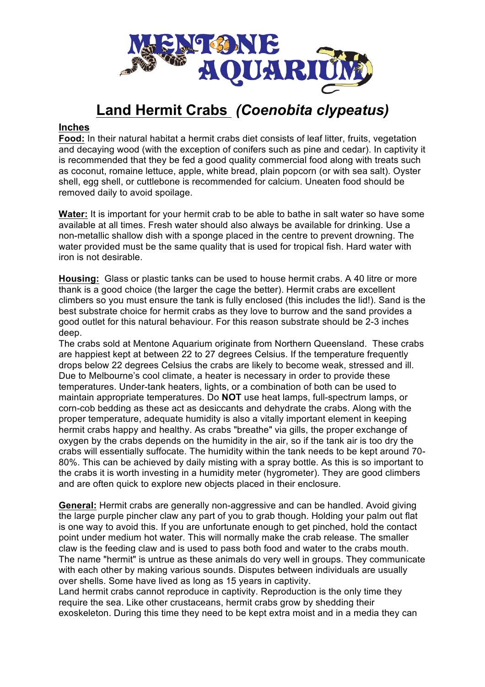

## **Land Hermit Crabs** *(Coenobita clypeatus)*

## **Inches**

**Food:** In their natural habitat a hermit crabs diet consists of leaf litter, fruits, vegetation and decaying wood (with the exception of conifers such as pine and cedar). In captivity it is recommended that they be fed a good quality commercial food along with treats such as coconut, romaine lettuce, apple, white bread, plain popcorn (or with sea salt). Oyster shell, egg shell, or cuttlebone is recommended for calcium. Uneaten food should be removed daily to avoid spoilage.

**Water:** It is important for your hermit crab to be able to bathe in salt water so have some available at all times. Fresh water should also always be available for drinking. Use a non-metallic shallow dish with a sponge placed in the centre to prevent drowning. The water provided must be the same quality that is used for tropical fish. Hard water with iron is not desirable.

**Housing:** Glass or plastic tanks can be used to house hermit crabs. A 40 litre or more thank is a good choice (the larger the cage the better). Hermit crabs are excellent climbers so you must ensure the tank is fully enclosed (this includes the lid!). Sand is the best substrate choice for hermit crabs as they love to burrow and the sand provides a good outlet for this natural behaviour. For this reason substrate should be 2-3 inches deep.

The crabs sold at Mentone Aquarium originate from Northern Queensland. These crabs are happiest kept at between 22 to 27 degrees Celsius. If the temperature frequently drops below 22 degrees Celsius the crabs are likely to become weak, stressed and ill. Due to Melbourne's cool climate, a heater is necessary in order to provide these temperatures. Under-tank heaters, lights, or a combination of both can be used to maintain appropriate temperatures. Do **NOT** use heat lamps, full-spectrum lamps, or corn-cob bedding as these act as desiccants and dehydrate the crabs. Along with the proper temperature, adequate humidity is also a vitally important element in keeping hermit crabs happy and healthy. As crabs "breathe" via gills, the proper exchange of oxygen by the crabs depends on the humidity in the air, so if the tank air is too dry the crabs will essentially suffocate. The humidity within the tank needs to be kept around 70- 80%. This can be achieved by daily misting with a spray bottle. As this is so important to the crabs it is worth investing in a humidity meter (hygrometer). They are good climbers and are often quick to explore new objects placed in their enclosure.

**General:** Hermit crabs are generally non-aggressive and can be handled. Avoid giving the large purple pincher claw any part of you to grab though. Holding your palm out flat is one way to avoid this. If you are unfortunate enough to get pinched, hold the contact point under medium hot water. This will normally make the crab release. The smaller claw is the feeding claw and is used to pass both food and water to the crabs mouth. The name "hermit" is untrue as these animals do very well in groups. They communicate with each other by making various sounds. Disputes between individuals are usually over shells. Some have lived as long as 15 years in captivity.

Land hermit crabs cannot reproduce in captivity. Reproduction is the only time they require the sea. Like other crustaceans, hermit crabs grow by shedding their exoskeleton. During this time they need to be kept extra moist and in a media they can